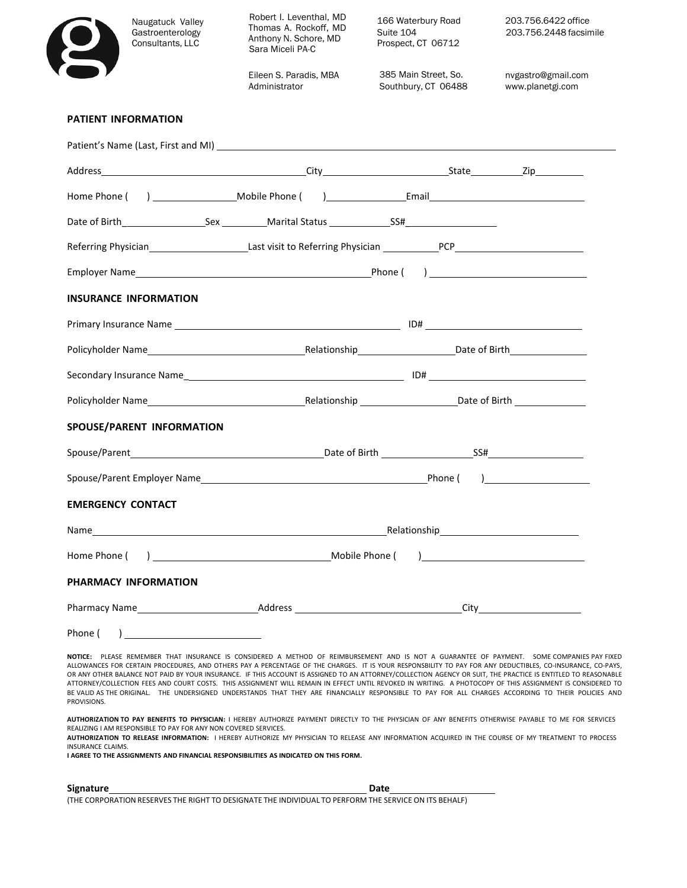| Naugatuck Valley<br>Gastroenterology<br>Consultants, LLC                                                                                                                                                                                                                                                                                                                                                                                                                                                                                                                                                                                                                                                                                                                                                    | Robert I. Leventhal, MD<br>Thomas A. Rockoff, MD<br>Anthony N. Schore, MD<br>Sara Miceli PA-C | 166 Waterbury Road<br>Suite 104<br>Prospect, CT 06712                                                                                                                                                                          | 203.756.6422 office<br>203.756.2448 facsimile |
|-------------------------------------------------------------------------------------------------------------------------------------------------------------------------------------------------------------------------------------------------------------------------------------------------------------------------------------------------------------------------------------------------------------------------------------------------------------------------------------------------------------------------------------------------------------------------------------------------------------------------------------------------------------------------------------------------------------------------------------------------------------------------------------------------------------|-----------------------------------------------------------------------------------------------|--------------------------------------------------------------------------------------------------------------------------------------------------------------------------------------------------------------------------------|-----------------------------------------------|
|                                                                                                                                                                                                                                                                                                                                                                                                                                                                                                                                                                                                                                                                                                                                                                                                             | Eileen S. Paradis, MBA<br>Administrator                                                       | 385 Main Street, So.<br>Southbury, CT 06488                                                                                                                                                                                    | nvgastro@gmail.com<br>www.planetgi.com        |
| <b>PATIENT INFORMATION</b>                                                                                                                                                                                                                                                                                                                                                                                                                                                                                                                                                                                                                                                                                                                                                                                  |                                                                                               |                                                                                                                                                                                                                                |                                               |
|                                                                                                                                                                                                                                                                                                                                                                                                                                                                                                                                                                                                                                                                                                                                                                                                             |                                                                                               |                                                                                                                                                                                                                                |                                               |
|                                                                                                                                                                                                                                                                                                                                                                                                                                                                                                                                                                                                                                                                                                                                                                                                             |                                                                                               |                                                                                                                                                                                                                                |                                               |
|                                                                                                                                                                                                                                                                                                                                                                                                                                                                                                                                                                                                                                                                                                                                                                                                             |                                                                                               |                                                                                                                                                                                                                                |                                               |
|                                                                                                                                                                                                                                                                                                                                                                                                                                                                                                                                                                                                                                                                                                                                                                                                             |                                                                                               |                                                                                                                                                                                                                                |                                               |
| Referring Physician <b>Mathematic Contract Contract Contract Contract Contract Contract Contract Contract Contract Contract Contract Contract Contract Contract Contract Contract Contract Contract Contract Contract Contract C</b>                                                                                                                                                                                                                                                                                                                                                                                                                                                                                                                                                                        |                                                                                               |                                                                                                                                                                                                                                |                                               |
|                                                                                                                                                                                                                                                                                                                                                                                                                                                                                                                                                                                                                                                                                                                                                                                                             |                                                                                               |                                                                                                                                                                                                                                |                                               |
| <b>INSURANCE INFORMATION</b>                                                                                                                                                                                                                                                                                                                                                                                                                                                                                                                                                                                                                                                                                                                                                                                |                                                                                               |                                                                                                                                                                                                                                |                                               |
|                                                                                                                                                                                                                                                                                                                                                                                                                                                                                                                                                                                                                                                                                                                                                                                                             |                                                                                               |                                                                                                                                                                                                                                |                                               |
| Policyholder Name Endicyholder Name Endicyholder Name Endicyholder Name Endicyholder Name Endicyholder Name  Endicyholder Name   Alexandre Contract Contract Contract Contract Contract Contract Contract Contract Contract Co                                                                                                                                                                                                                                                                                                                                                                                                                                                                                                                                                                              |                                                                                               |                                                                                                                                                                                                                                |                                               |
|                                                                                                                                                                                                                                                                                                                                                                                                                                                                                                                                                                                                                                                                                                                                                                                                             |                                                                                               |                                                                                                                                                                                                                                |                                               |
|                                                                                                                                                                                                                                                                                                                                                                                                                                                                                                                                                                                                                                                                                                                                                                                                             |                                                                                               |                                                                                                                                                                                                                                |                                               |
| SPOUSE/PARENT INFORMATION                                                                                                                                                                                                                                                                                                                                                                                                                                                                                                                                                                                                                                                                                                                                                                                   |                                                                                               |                                                                                                                                                                                                                                |                                               |
|                                                                                                                                                                                                                                                                                                                                                                                                                                                                                                                                                                                                                                                                                                                                                                                                             |                                                                                               |                                                                                                                                                                                                                                |                                               |
|                                                                                                                                                                                                                                                                                                                                                                                                                                                                                                                                                                                                                                                                                                                                                                                                             |                                                                                               |                                                                                                                                                                                                                                |                                               |
| <b>EMERGENCY CONTACT</b>                                                                                                                                                                                                                                                                                                                                                                                                                                                                                                                                                                                                                                                                                                                                                                                    |                                                                                               |                                                                                                                                                                                                                                |                                               |
|                                                                                                                                                                                                                                                                                                                                                                                                                                                                                                                                                                                                                                                                                                                                                                                                             |                                                                                               | Relationship Exercise and the set of the set of the set of the set of the set of the set of the set of the set of the set of the set of the set of the set of the set of the set of the set of the set of the set of the set o |                                               |
|                                                                                                                                                                                                                                                                                                                                                                                                                                                                                                                                                                                                                                                                                                                                                                                                             |                                                                                               |                                                                                                                                                                                                                                |                                               |
| PHARMACY INFORMATION                                                                                                                                                                                                                                                                                                                                                                                                                                                                                                                                                                                                                                                                                                                                                                                        |                                                                                               |                                                                                                                                                                                                                                |                                               |
|                                                                                                                                                                                                                                                                                                                                                                                                                                                                                                                                                                                                                                                                                                                                                                                                             |                                                                                               |                                                                                                                                                                                                                                |                                               |
| $\begin{array}{c} \hline \end{array}$<br>Phone (                                                                                                                                                                                                                                                                                                                                                                                                                                                                                                                                                                                                                                                                                                                                                            |                                                                                               |                                                                                                                                                                                                                                |                                               |
| NOTICE: PLEASE REMEMBER THAT INSURANCE IS CONSIDERED A METHOD OF REIMBURSEMENT AND IS NOT A GUARANTEE OF PAYMENT. SOME COMPANIES PAY FIXED<br>ALLOWANCES FOR CERTAIN PROCEDURES, AND OTHERS PAY A PERCENTAGE OF THE CHARGES. IT IS YOUR RESPONSBILITY TO PAY FOR ANY DEDUCTIBLES, CO-INSURANCE, CO-PAYS,<br>OR ANY OTHER BALANCE NOT PAID BY YOUR INSURANCE. IF THIS ACCOUNT IS ASSIGNED TO AN ATTORNEY/COLLECTION AGENCY OR SUIT, THE PRACTICE IS ENTITLED TO REASONABLE<br>ATTORNEY/COLLECTION FEES AND COURT COSTS. THIS ASSIGNMENT WILL REMAIN IN EFFECT UNTIL REVOKED IN WRITING. A PHOTOCOPY OF THIS ASSIGNMENT IS CONSIDERED TO<br>BE VALID AS THE ORIGINAL. THE UNDERSIGNED UNDERSTANDS THAT THEY ARE FINANCIALLY RESPONSIBLE TO PAY FOR ALL CHARGES ACCORDING TO THEIR POLICIES AND<br>PROVISIONS. |                                                                                               |                                                                                                                                                                                                                                |                                               |

REALIZING I AM RESPONSIBLE TO PAY FOR ANY NON COVERED SERVICES. **AUTHORIZATION TO RELEASE INFORMATION:** I HEREBY AUTHORIZE MY PHYSICIAN TO RELEASE ANY INFORMATION ACQUIRED IN THE COURSE OF MY TREATMENT TO PROCESS INSURANCE CLAIMS.

**I AGREE TO THE ASSIGNMENTS AND FINANCIAL RESPONSIBILITIES AS INDICATED ON THIS FORM.** 

 $\overline{\mathcal{L}}$ 

| Signature                                                                                             | Date |
|-------------------------------------------------------------------------------------------------------|------|
| (THE CORPORATION RESERVES THE RIGHT TO DESIGNATE THE INDIVIDUAL TO PERFORM THE SERVICE ON ITS BEHALF) |      |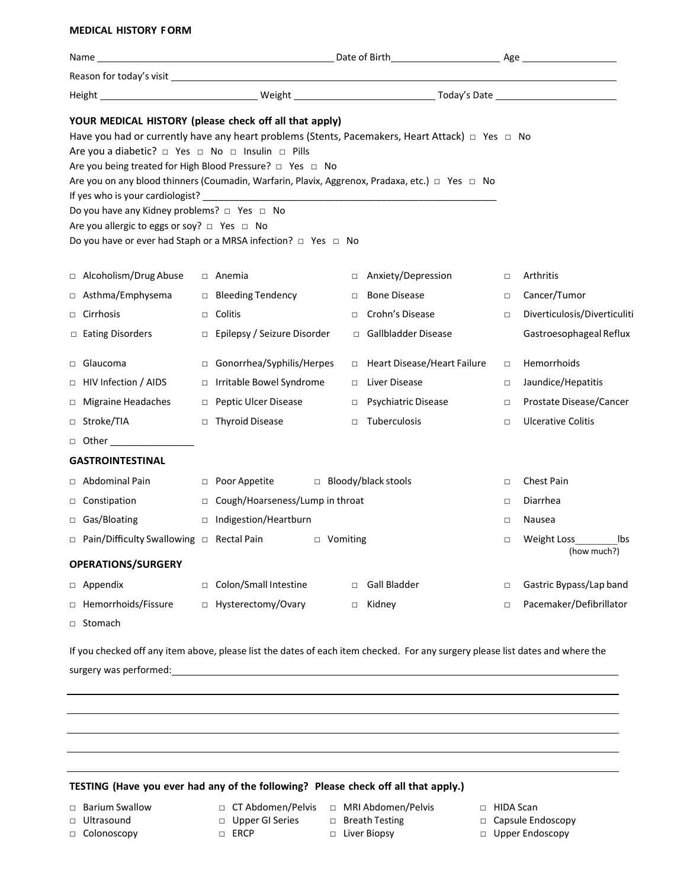## **MEDICAL HISTORY FORM**

|   | Name_                                                                                                                                          |                                                                                                                                                                                                                                                                                                            |        |                                                                                                 |        |                                   |
|---|------------------------------------------------------------------------------------------------------------------------------------------------|------------------------------------------------------------------------------------------------------------------------------------------------------------------------------------------------------------------------------------------------------------------------------------------------------------|--------|-------------------------------------------------------------------------------------------------|--------|-----------------------------------|
|   |                                                                                                                                                |                                                                                                                                                                                                                                                                                                            |        |                                                                                                 |        |                                   |
|   |                                                                                                                                                |                                                                                                                                                                                                                                                                                                            |        |                                                                                                 |        |                                   |
|   | Are you a diabetic? □ Yes □ No □ Insulin □ Pills<br>Do you have any Kidney problems? □ Yes □ No<br>Are you allergic to eggs or soy? □ Yes □ No | YOUR MEDICAL HISTORY (please check off all that apply)<br>Are you being treated for High Blood Pressure? $\Box$ Yes $\Box$ No<br>Are you on any blood thinners (Coumadin, Warfarin, Plavix, Aggrenox, Pradaxa, etc.) □ Yes □ No<br>Do you have or ever had Staph or a MRSA infection? $\Box$ Yes $\Box$ No |        | Have you had or currently have any heart problems (Stents, Pacemakers, Heart Attack) □ Yes □ No |        |                                   |
|   | □ Alcoholism/Drug Abuse                                                                                                                        | $\Box$ Anemia                                                                                                                                                                                                                                                                                              | $\Box$ | Anxiety/Depression                                                                              | $\Box$ | Arthritis                         |
| □ | Asthma/Emphysema                                                                                                                               | □ Bleeding Tendency                                                                                                                                                                                                                                                                                        | $\Box$ | <b>Bone Disease</b>                                                                             | $\Box$ | Cancer/Tumor                      |
|   | $\Box$ Cirrhosis                                                                                                                               | $\Box$ Colitis                                                                                                                                                                                                                                                                                             | $\Box$ | Crohn's Disease                                                                                 | $\Box$ | Diverticulosis/Diverticuliti      |
|   | □ Eating Disorders                                                                                                                             | □ Epilepsy / Seizure Disorder                                                                                                                                                                                                                                                                              |        | □ Gallbladder Disease                                                                           |        | Gastroesophageal Reflux           |
|   | □ Glaucoma                                                                                                                                     | □ Gonorrhea/Syphilis/Herpes                                                                                                                                                                                                                                                                                |        | □ Heart Disease/Heart Failure                                                                   | $\Box$ | Hemorrhoids                       |
|   | □ HIV Infection / AIDS                                                                                                                         | □ Irritable Bowel Syndrome                                                                                                                                                                                                                                                                                 | $\Box$ | Liver Disease                                                                                   | $\Box$ | Jaundice/Hepatitis                |
|   | $\Box$ Migraine Headaches                                                                                                                      | □ Peptic Ulcer Disease                                                                                                                                                                                                                                                                                     | $\Box$ | Psychiatric Disease                                                                             | □      | Prostate Disease/Cancer           |
|   | □ Stroke/TIA                                                                                                                                   | $\Box$ Thyroid Disease                                                                                                                                                                                                                                                                                     | $\Box$ | Tuberculosis                                                                                    | $\Box$ | <b>Ulcerative Colitis</b>         |
|   | □ Other _________________                                                                                                                      |                                                                                                                                                                                                                                                                                                            |        |                                                                                                 |        |                                   |
|   | <b>GASTROINTESTINAL</b>                                                                                                                        |                                                                                                                                                                                                                                                                                                            |        |                                                                                                 |        |                                   |
|   | $\Box$ Abdominal Pain                                                                                                                          | $\Box$ Poor Appetite                                                                                                                                                                                                                                                                                       |        | □ Bloody/black stools                                                                           | $\Box$ | <b>Chest Pain</b>                 |
|   | $\Box$ Constipation                                                                                                                            | □ Cough/Hoarseness/Lump in throat                                                                                                                                                                                                                                                                          |        |                                                                                                 | $\Box$ | Diarrhea                          |
|   | $\Box$ Gas/Bloating                                                                                                                            | □ Indigestion/Heartburn                                                                                                                                                                                                                                                                                    |        |                                                                                                 | $\Box$ | Nausea                            |
|   | □ Pain/Difficulty Swallowing □ Rectal Pain                                                                                                     | □ Vomiting                                                                                                                                                                                                                                                                                                 |        |                                                                                                 | $\Box$ | Weight Loss<br>lbs<br>(how much?) |
|   | <b>OPERATIONS/SURGERY</b>                                                                                                                      |                                                                                                                                                                                                                                                                                                            |        |                                                                                                 |        |                                   |
|   | $\Box$ Appendix                                                                                                                                | □ Colon/Small Intestine                                                                                                                                                                                                                                                                                    |        | □ Gall Bladder                                                                                  | $\Box$ | Gastric Bypass/Lap band           |
|   | □ Hemorrhoids/Fissure                                                                                                                          | □ Hysterectomy/Ovary                                                                                                                                                                                                                                                                                       |        | □ Kidney                                                                                        | $\Box$ | Pacemaker/Defibrillator           |
|   | □ Stomach                                                                                                                                      |                                                                                                                                                                                                                                                                                                            |        |                                                                                                 |        |                                   |

If you checked off any item above, please list the dates of each item checked. For any surgery please list dates and where the surgery was performed:

## **TESTING (Have you ever had any of the following? Please check off all that apply.)**

- □ Barium Swallow □ CT Abdomen/Pelvis □ MRI Abdomen/Pelvis □ HIDA Scan
- 
- □ Ultrasound □ Upper GI Series □ Breath Testing □ Capsule Endoscopy
	-
- 
- 
- □ Colonoscopy □ ERCP Liver Biopsy □ Upper Endoscopy
- 

- 
- -
-